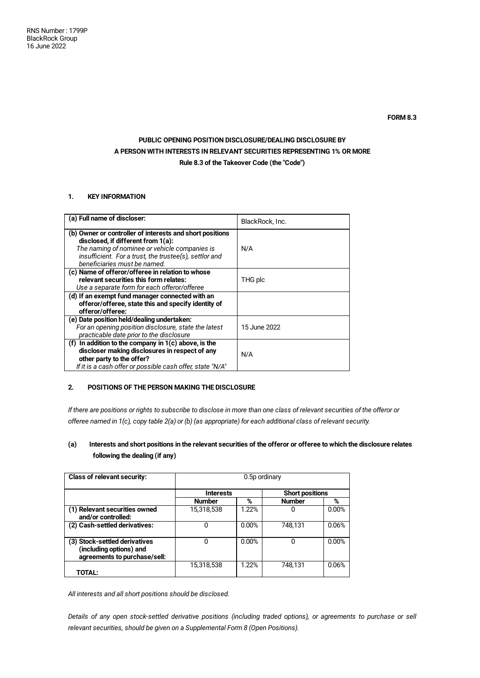# **PUBLIC OPENING POSITION DISCLOSURE/DEALING DISCLOSURE BY A PERSON WITH INTERESTS IN RELEVANT SECURITIES REPRESENTING 1% OR MORE Rule 8.3 of the Takeover Code (the "Code")**

### **1. KEY INFORMATION**

| (a) Full name of discloser:                                                                                                                                                                        | BlackRock, Inc. |
|----------------------------------------------------------------------------------------------------------------------------------------------------------------------------------------------------|-----------------|
| (b) Owner or controller of interests and short positions<br>disclosed, if different from 1(a):<br>The naming of nominee or vehicle companies is                                                    | N/A             |
| insufficient. For a trust, the trustee(s), settlor and<br>beneficiaries must be named.                                                                                                             |                 |
| (c) Name of offeror/offeree in relation to whose<br>relevant securities this form relates:<br>Use a separate form for each offeror/offeree                                                         | THG plc         |
| (d) If an exempt fund manager connected with an<br>offeror/offeree, state this and specify identity of<br>offeror/offeree:                                                                         |                 |
| (e) Date position held/dealing undertaken:<br>For an opening position disclosure, state the latest<br>practicable date prior to the disclosure                                                     | 15 June 2022    |
| (f) In addition to the company in $1(c)$ above, is the<br>discloser making disclosures in respect of any<br>other party to the offer?<br>If it is a cash offer or possible cash offer, state "N/A" | N/A             |

## **2. POSITIONS OF THE PERSON MAKING THE DISCLOSURE**

If there are positions or rights to subscribe to disclose in more than one class of relevant securities of the offeror or offeree named in 1(c), copy table 2(a) or (b) (as appropriate) for each additional class of relevant security.

## (a) Interests and short positions in the relevant securities of the offeror or offeree to which the disclosure relates **following the dealing (if any)**

| <b>Class of relevant security:</b>                                                       | 0.5p ordinary    |       |                        |       |  |
|------------------------------------------------------------------------------------------|------------------|-------|------------------------|-------|--|
|                                                                                          | <b>Interests</b> |       | <b>Short positions</b> |       |  |
|                                                                                          | <b>Number</b>    | %     | <b>Number</b>          | %     |  |
| (1) Relevant securities owned<br>and/or controlled:                                      | 15,318,538       | 1.22% | 0                      | 0.00% |  |
| (2) Cash-settled derivatives:                                                            | 0                | 0.00% | 748.131                | 0.06% |  |
| (3) Stock-settled derivatives<br>(including options) and<br>agreements to purchase/sell: | ი                | 0.00% | 0                      | 0.00% |  |
| TOTAL:                                                                                   | 15,318,538       | 1.22% | 748,131                | 0.06% |  |

*All interests and all short positions should be disclosed.*

Details of any open stock-settled derivative positions (including traded options), or agreements to purchase or sell *relevant securities, should be given on a Supplemental Form 8 (Open Positions).*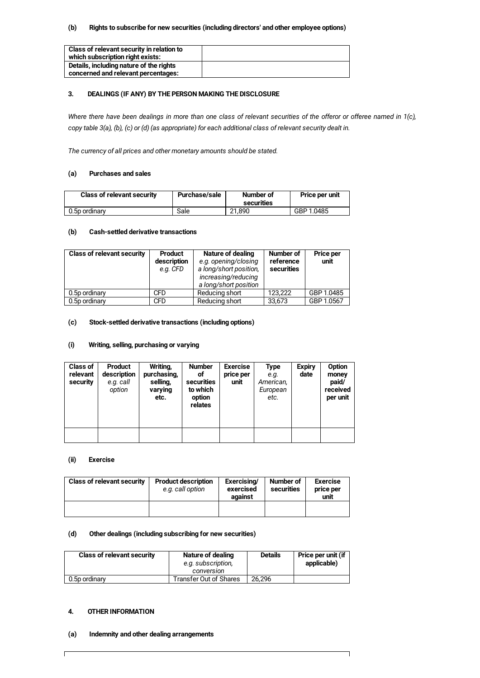#### **(b) Rights to subscribe for new securities (including directors' and other employee options)**

| Class of relevant security in relation to |  |
|-------------------------------------------|--|
| which subscription right exists:          |  |
| Details, including nature of the rights   |  |
| concerned and relevant percentages:       |  |

#### **3. DEALINGS (IF ANY) BY THE PERSON MAKING THE DISCLOSURE**

Where there have been dealings in more than one class of relevant securities of the offeror or offeree named in 1(c), copy table 3(a), (b), (c) or (d) (as appropriate) for each additional class of relevant security dealt in.

*The currency of all prices and other monetary amounts should be stated.*

#### **(a) Purchases and sales**

| <b>Class of relevant security</b> | <b>Purchase/sale</b> | Number of<br>securities | Price per unit |
|-----------------------------------|----------------------|-------------------------|----------------|
| 0.5p ordinary                     | Sale                 | 21.890                  | GBP 1.0485     |

#### **(b) Cash-settled derivative transactions**

| <b>Class of relevant security</b> | <b>Product</b><br>description<br>e.g. CFD | Nature of dealing<br>e.g. opening/closing<br>a long/short position,<br>increasing/reducing<br>a long/short position | Number of<br>reference<br>securities | <b>Price per</b><br>unit |
|-----------------------------------|-------------------------------------------|---------------------------------------------------------------------------------------------------------------------|--------------------------------------|--------------------------|
| 0.5p ordinary                     | CFD                                       | Reducing short                                                                                                      | 123.222                              | GBP 1.0485               |
| 0.5p ordinary                     | <b>CFD</b>                                | Reducing short                                                                                                      | 33.673                               | GBP 1.0567               |

### **(c) Stock-settled derivative transactions (including options)**

#### **(i) Writing, selling, purchasing or varying**

| <b>Class of</b><br>relevant<br>security | <b>Product</b><br>description<br>e.g. call<br>option | Writing,<br>purchasing,<br>selling,<br>varying<br>etc. | <b>Number</b><br>οf<br>securities<br>to which<br>option<br>relates | <b>Exercise</b><br>price per<br>unit | Type<br>e.g.<br>American,<br>European<br>etc. | <b>Expiry</b><br>date | Option<br>money<br>paid/<br>received<br>per unit |
|-----------------------------------------|------------------------------------------------------|--------------------------------------------------------|--------------------------------------------------------------------|--------------------------------------|-----------------------------------------------|-----------------------|--------------------------------------------------|
|                                         |                                                      |                                                        |                                                                    |                                      |                                               |                       |                                                  |

### **(ii) Exercise**

| <b>Class of relevant security</b> | <b>Product description</b><br>e.g. call option | Exercising/<br>exercised<br>against | Number of<br>securities | <b>Exercise</b><br>price per<br>unit |
|-----------------------------------|------------------------------------------------|-------------------------------------|-------------------------|--------------------------------------|
|                                   |                                                |                                     |                         |                                      |

#### **(d) Other dealings (including subscribing for new securities)**

| <b>Class of relevant security</b> | Nature of dealing<br>e.g. subscription,<br>conversion | <b>Details</b> | Price per unit (if<br>applicable) |
|-----------------------------------|-------------------------------------------------------|----------------|-----------------------------------|
| 0.5p ordinary                     | Transfer Out of Shares                                | 26.296         |                                   |

٦

### **4. OTHER INFORMATION**

 $\mathsf{I}$ 

#### **(a) Indemnity and other dealing arrangements**